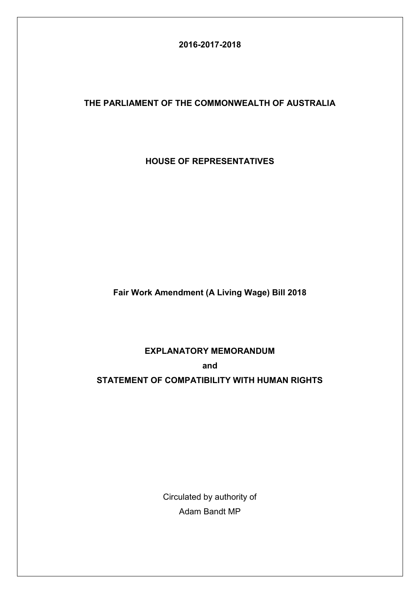## **2016-2017-2018**

## **THE PARLIAMENT OF THE COMMONWEALTH OF AUSTRALIA**

**HOUSE OF REPRESENTATIVES**

**Fair Work Amendment (A Living Wage) Bill 2018**

### **EXPLANATORY MEMORANDUM**

**and**

### **STATEMENT OF COMPATIBILITY WITH HUMAN RIGHTS**

Circulated by authority of Adam Bandt MP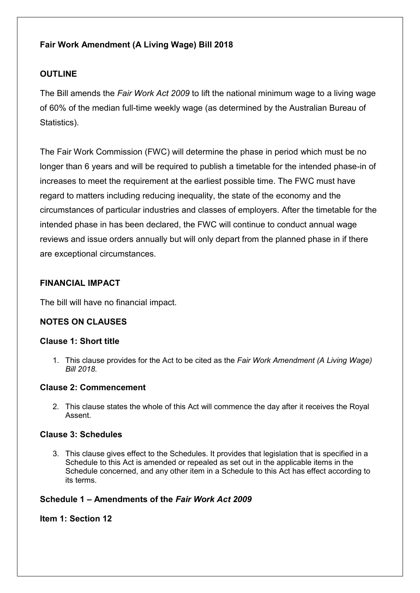# **Fair Work Amendment (A Living Wage) Bill 2018**

## **OUTLINE**

The Bill amends the *Fair Work Act 2009* to lift the national minimum wage to a living wage of 60% of the median full-time weekly wage (as determined by the Australian Bureau of Statistics).

The Fair Work Commission (FWC) will determine the phase in period which must be no longer than 6 years and will be required to publish a timetable for the intended phase-in of increases to meet the requirement at the earliest possible time. The FWC must have regard to matters including reducing inequality, the state of the economy and the circumstances of particular industries and classes of employers. After the timetable for the intended phase in has been declared, the FWC will continue to conduct annual wage reviews and issue orders annually but will only depart from the planned phase in if there are exceptional circumstances.

### **FINANCIAL IMPACT**

The bill will have no financial impact.

## **NOTES ON CLAUSES**

### **Clause 1: Short title**

1. This clause provides for the Act to be cited as the *Fair Work Amendment (A Living Wage) Bill 2018.*

#### **Clause 2: Commencement**

2. This clause states the whole of this Act will commence the day after it receives the Royal Assent.

#### **Clause 3: Schedules**

3. This clause gives effect to the Schedules. It provides that legislation that is specified in a Schedule to this Act is amended or repealed as set out in the applicable items in the Schedule concerned, and any other item in a Schedule to this Act has effect according to its terms.

### **Schedule 1 – Amendments of the** *Fair Work Act 2009*

### **Item 1: Section 12**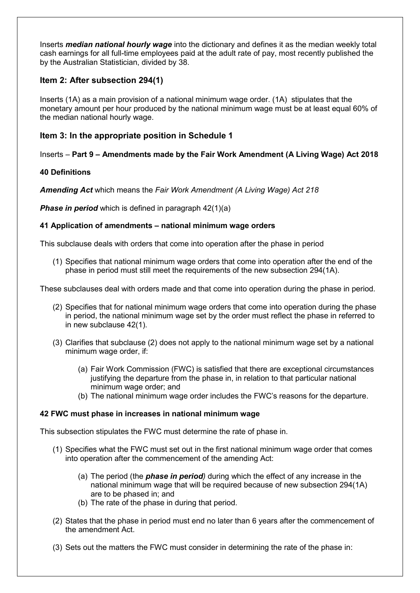Inserts *median national hourly wage* into the dictionary and defines it as the median weekly total cash earnings for all full-time employees paid at the adult rate of pay, most recently published the by the Australian Statistician, divided by 38.

### **Item 2: After subsection 294(1)**

Inserts (1A) as a main provision of a national minimum wage order. (1A) stipulates that the monetary amount per hour produced by the national minimum wage must be at least equal 60% of the median national hourly wage.

### **Item 3: In the appropriate position in Schedule 1**

### Inserts – **Part 9 – Amendments made by the Fair Work Amendment (A Living Wage) Act 2018**

#### **40 Definitions**

*Amending Act* which means the *Fair Work Amendment (A Living Wage) Act 218*

**Phase in period** which is defined in paragraph 42(1)(a)

#### **41 Application of amendments – national minimum wage orders**

This subclause deals with orders that come into operation after the phase in period

(1) Specifies that national minimum wage orders that come into operation after the end of the phase in period must still meet the requirements of the new subsection 294(1A).

These subclauses deal with orders made and that come into operation during the phase in period.

- (2) Specifies that for national minimum wage orders that come into operation during the phase in period, the national minimum wage set by the order must reflect the phase in referred to in new subclause 42(1).
- (3) Clarifies that subclause (2) does not apply to the national minimum wage set by a national minimum wage order, if:
	- (a) Fair Work Commission (FWC) is satisfied that there are exceptional circumstances justifying the departure from the phase in, in relation to that particular national minimum wage order; and
	- (b) The national minimum wage order includes the FWC's reasons for the departure.

#### **42 FWC must phase in increases in national minimum wage**

This subsection stipulates the FWC must determine the rate of phase in.

- (1) Specifies what the FWC must set out in the first national minimum wage order that comes into operation after the commencement of the amending Act:
	- (a) The period (the *phase in period)* during which the effect of any increase in the national minimum wage that will be required because of new subsection 294(1A) are to be phased in; and
	- (b) The rate of the phase in during that period.
- (2) States that the phase in period must end no later than 6 years after the commencement of the amendment Act.
- (3) Sets out the matters the FWC must consider in determining the rate of the phase in: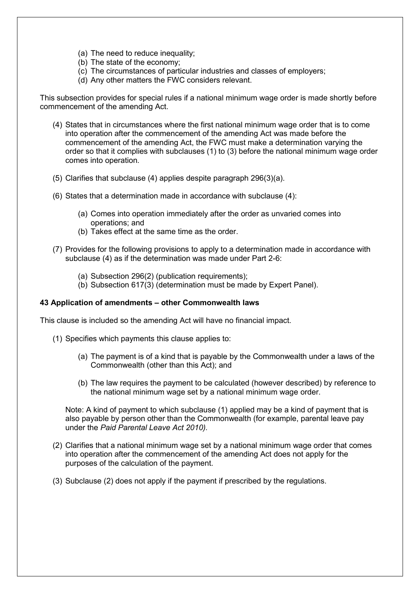- (a) The need to reduce inequality;
- (b) The state of the economy;
- (c) The circumstances of particular industries and classes of employers;
- (d) Any other matters the FWC considers relevant.

This subsection provides for special rules if a national minimum wage order is made shortly before commencement of the amending Act.

- (4) States that in circumstances where the first national minimum wage order that is to come into operation after the commencement of the amending Act was made before the commencement of the amending Act, the FWC must make a determination varying the order so that it complies with subclauses (1) to (3) before the national minimum wage order comes into operation.
- (5) Clarifies that subclause (4) applies despite paragraph 296(3)(a).
- (6) States that a determination made in accordance with subclause (4):
	- (a) Comes into operation immediately after the order as unvaried comes into operations; and
	- (b) Takes effect at the same time as the order.
- (7) Provides for the following provisions to apply to a determination made in accordance with subclause (4) as if the determination was made under Part 2-6:
	- (a) Subsection 296(2) (publication requirements);
	- (b) Subsection 617(3) (determination must be made by Expert Panel).

#### **43 Application of amendments – other Commonwealth laws**

This clause is included so the amending Act will have no financial impact.

- (1) Specifies which payments this clause applies to:
	- (a) The payment is of a kind that is payable by the Commonwealth under a laws of the Commonwealth (other than this Act); and
	- (b) The law requires the payment to be calculated (however described) by reference to the national minimum wage set by a national minimum wage order.

Note: A kind of payment to which subclause (1) applied may be a kind of payment that is also payable by person other than the Commonwealth (for example, parental leave pay under the *Paid Parental Leave Act 2010).* 

- (2) Clarifies that a national minimum wage set by a national minimum wage order that comes into operation after the commencement of the amending Act does not apply for the purposes of the calculation of the payment.
- (3) Subclause (2) does not apply if the payment if prescribed by the regulations.